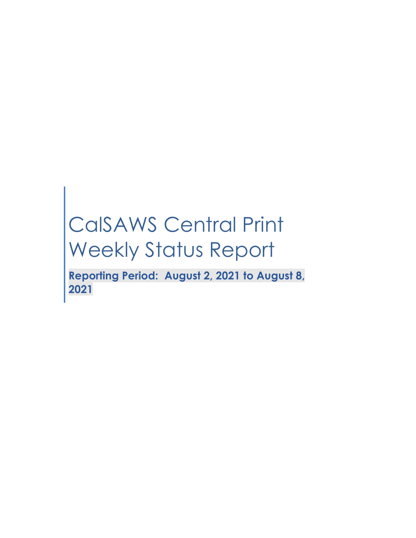# CalSAWS Central Print Weekly Status Report

**Reporting Period: August 2, 2021 to August 8, 2021**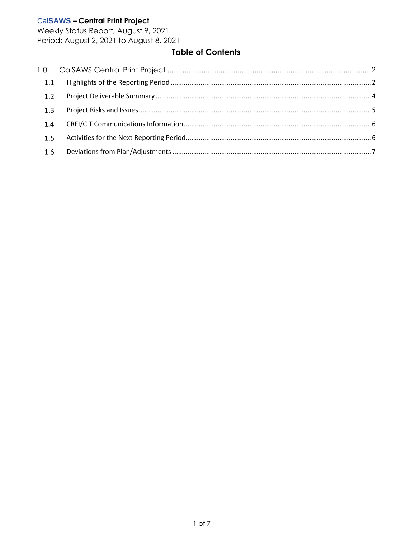Weekly Status Report, August 9, 2021 Period: August 2, 2021 to August 8, 2021

# **Table of Contents**

| 1.1 |  |
|-----|--|
| 1.2 |  |
| 1.3 |  |
| 1.4 |  |
| 1.5 |  |
| 1.6 |  |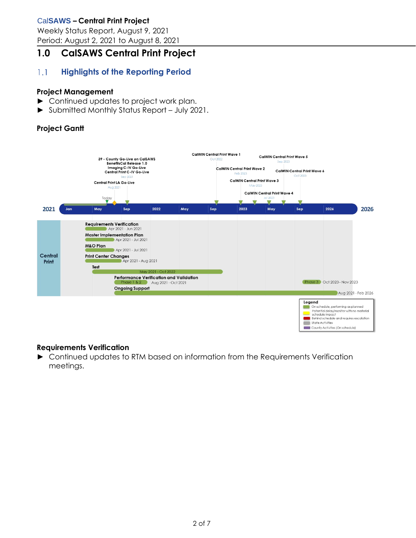Weekly Status Report, August 9, 2021 Period: August 2, 2021 to August 8, 2021

# <span id="page-2-0"></span>**1.0 CalSAWS Central Print Project**

#### <span id="page-2-1"></span> $1.1$ **Highlights of the Reporting Period**

## **Project Management**

- ► Continued updates to project work plan.
- ► Submitted Monthly Status Report July 2021.

# **Project Gantt**



## **Requirements Verification**

► Continued updates to RTM based on information from the Requirements Verification meetings.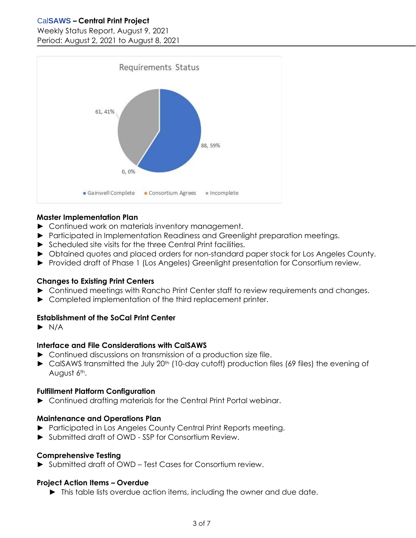#### Weekly Status Report, August 9, 2021 Period: August 2, 2021 to August 8, 2021



## **Master Implementation Plan**

- ► Continued work on materials inventory management.
- ► Participated in Implementation Readiness and Greenlight preparation meetings.
- ► Scheduled site visits for the three Central Print facilities.
- ► Obtained quotes and placed orders for non-standard paper stock for Los Angeles County.
- ► Provided draft of Phase 1 (Los Angeles) Greenlight presentation for Consortium review.

#### **Changes to Existing Print Centers**

- ► Continued meetings with Rancho Print Center staff to review requirements and changes.
- ► Completed implementation of the third replacement printer.

## **Establishment of the SoCal Print Center**

 $\blacktriangleright$  N/A

## **Interface and File Considerations with CalSAWS**

- ► Continued discussions on transmission of a production size file.
- ► CalSAWS transmitted the July 20<sup>th</sup> (10-day cutoff) production files (69 files) the evening of August 6<sup>th</sup>.

#### **Fulfillment Platform Configuration**

► Continued drafting materials for the Central Print Portal webinar.

#### **Maintenance and Operations Plan**

- ► Participated in Los Angeles County Central Print Reports meeting.
- ► Submitted draft of OWD SSP for Consortium Review.

#### **Comprehensive Testing**

► Submitted draft of OWD – Test Cases for Consortium review.

#### **Project Action Items – Overdue**

► This table lists overdue action items, including the owner and due date.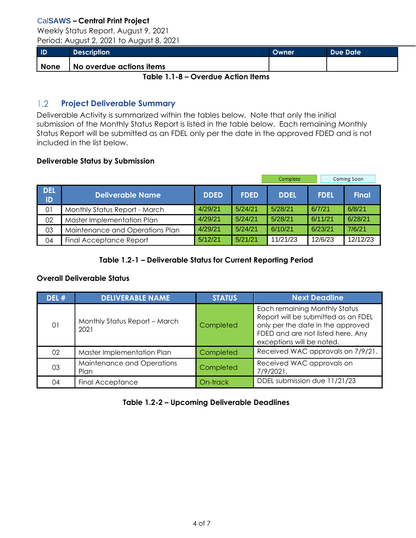Weekly Status Report, August 9, 2021 Period: August 2, 2021 to August 8, 2021

| ID          | <b>Description</b>       | <b>Owner</b> | Due Date |
|-------------|--------------------------|--------------|----------|
| <b>None</b> | No overdue actions items |              |          |

**Table 1.1-8 – Overdue Action Items**

#### <span id="page-4-0"></span>**Project Deliverable Summary**  $1.2$

Deliverable Activity is summarized within the tables below. Note that only the initial submission of the Monthly Status Report is listed in the table below. Each remaining Monthly Status Report will be submitted as an FDEL only per the date in the approved FDED and is not included in the list below.

## **Deliverable Status by Submission**

|                  |                                 |             |             | Complete    |             | Coming Soon  |
|------------------|---------------------------------|-------------|-------------|-------------|-------------|--------------|
| <b>DEL</b><br>ID | <b>Deliverable Name</b>         | <b>DDED</b> | <b>FDED</b> | <b>DDEL</b> | <b>FDEL</b> | <b>Final</b> |
| 01               | Monthly Status Report - March   | 4/29/21     | 5/24/21     | 5/28/21     | 6/7/21      | 6/8/21       |
| 02               | Master Implementation Plan      | 4/29/21     | 5/24/21     | 5/28/21     | 6/11/21     | 6/28/21      |
| 03               | Maintenance and Operations Plan | 4/29/21     | 5/24/21     | 6/10/21     | 6/23/21     | 7/6/21       |
| 04               | <b>Final Acceptance Report</b>  | 5/12/21     | 5/21/21     | 11/21/23    | 12/6/23     | 12/12/23     |

# **Table 1.2-1 – Deliverable Status for Current Reporting Period**

## **Overall Deliverable Status**

| DEL # | <b>DELIVERABLE NAME</b>               | <b>STATUS</b> | <b>Next Deadline</b>                                                                                                                                                        |
|-------|---------------------------------------|---------------|-----------------------------------------------------------------------------------------------------------------------------------------------------------------------------|
| 01    | Monthly Status Report - March<br>2021 | Completed     | Each remaining Monthly Status<br>Report will be submitted as an FDEL<br>only per the date in the approved<br>FDED and are not listed here. Any<br>exceptions will be noted. |
| 02    | Master Implementation Plan            | Completed     | Received WAC approvals on 7/9/21.                                                                                                                                           |
| 03    | Maintenance and Operations<br>Plan    | Completed     | Received WAC approvals on<br>7/9/2021.                                                                                                                                      |
| 04    | <b>Final Acceptance</b>               | On-track      | DDEL submission due 11/21/23                                                                                                                                                |

# **Table 1.2-2 – Upcoming Deliverable Deadlines**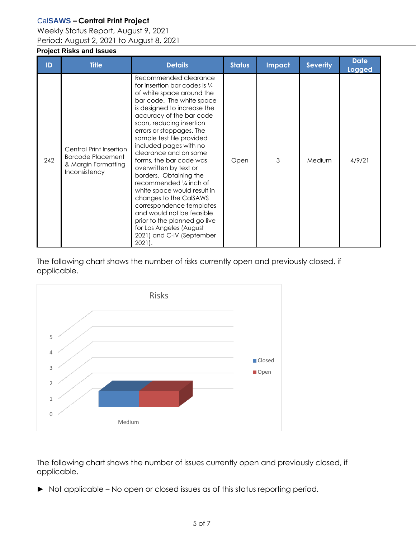Weekly Status Report, August 9, 2021 Period: August 2, 2021 to August 8, 2021

## <span id="page-5-0"></span>**Project Risks and Issues**

| ID  | <b>Title</b>                                                                                       | <b>Details</b>                                                                                                                                                                                                                                                                                                                                                                                                                                                                                                                                                                                                                                                 | <b>Status</b> | <b>Impact</b> | <b>Severity</b> | <b>Date</b><br><b>Logged</b> |
|-----|----------------------------------------------------------------------------------------------------|----------------------------------------------------------------------------------------------------------------------------------------------------------------------------------------------------------------------------------------------------------------------------------------------------------------------------------------------------------------------------------------------------------------------------------------------------------------------------------------------------------------------------------------------------------------------------------------------------------------------------------------------------------------|---------------|---------------|-----------------|------------------------------|
| 242 | <b>Central Print Insertion</b><br><b>Barcode Placement</b><br>& Margin Formatting<br>Inconsistency | Recommended clearance<br>for insertion bar codes is 1/4<br>of white space around the<br>bar code. The white space<br>is designed to increase the<br>accuracy of the bar code<br>scan, reducing insertion<br>errors or stoppages. The<br>sample test file provided<br>included pages with no<br>clearance and on some<br>forms, the bar code was<br>overwritten by text or<br>borders. Obtaining the<br>recommended $\frac{1}{4}$ inch of<br>white space would result in<br>changes to the CalSAWS<br>correspondence templates<br>and would not be feasible<br>prior to the planned go live<br>for Los Angeles (August<br>2021) and C-IV (September<br>$2021$ . | Open          | 3             | Medium          | 4/9/21                       |

The following chart shows the number of risks currently open and previously closed, if applicable.



The following chart shows the number of issues currently open and previously closed, if applicable.

► Not applicable – No open or closed issues as of this status reporting period.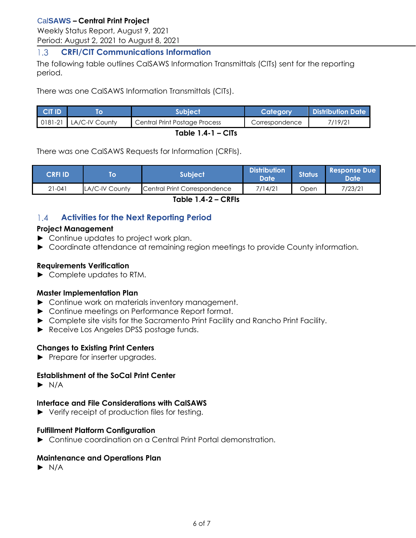Weekly Status Report, August 9, 2021 Period: August 2, 2021 to August 8, 2021

#### <span id="page-6-0"></span> $1.3$ **CRFI/CIT Communications Information**

The following table outlines CalSAWS Information Transmittals (CITs) sent for the reporting period.

There was one CalSAWS Information Transmittals (CITs).

| <b>CIT ID</b>       |                          | <b>Subject</b><br>Category    |                | <b>Distribution Date</b> |  |  |
|---------------------|--------------------------|-------------------------------|----------------|--------------------------|--|--|
|                     | 0181-21   LA/C-IV County | Central Print Postage Process | Correspondence | 7/19/21                  |  |  |
| Table $1.4 - 1 - C$ |                          |                               |                |                          |  |  |

There was one CalSAWS Requests for Information (CRFIs).

| <b>CRFI ID</b> |                | Subiect                      | Distribution <sup>1</sup><br>Date | <b>Status</b> | <b>Response Due</b><br>'Date |
|----------------|----------------|------------------------------|-----------------------------------|---------------|------------------------------|
| $21 - 041$     | LA/C-IV County | Central Print Correspondence | 7/14/21                           | Jpen          | 7/23/21                      |

**Table 1.4-2 – CRFIs**

#### <span id="page-6-1"></span>**Activities for the Next Reporting Period**  $1.4$

#### **Project Management**

- ► Continue updates to project work plan.
- ► Coordinate attendance at remaining region meetings to provide County information.

#### **Requirements Verification**

► Complete updates to RTM.

#### **Master Implementation Plan**

- ► Continue work on materials inventory management.
- ► Continue meetings on Performance Report format.
- ► Complete site visits for the Sacramento Print Facility and Rancho Print Facility.
- ► Receive Los Angeles DPSS postage funds.

## **Changes to Existing Print Centers**

► Prepare for inserter upgrades.

# **Establishment of the SoCal Print Center**

 $\blacktriangleright$  N/A

# **Interface and File Considerations with CalSAWS**

► Verify receipt of production files for testing.

# **Fulfillment Platform Configuration**

► Continue coordination on a Central Print Portal demonstration.

# **Maintenance and Operations Plan**

 $\blacktriangleright$  N/A